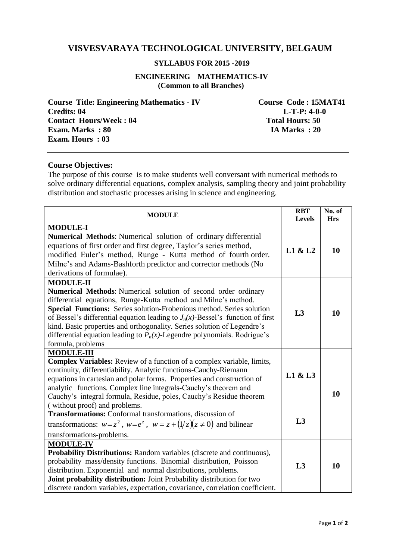# **VISVESVARAYA TECHNOLOGICAL UNIVERSITY, BELGAUM**

#### **SYLLABUS FOR 2015 -2019**

**ENGINEERING MATHEMATICS-IV (Common to all Branches)**

**Course Title: Engineering Mathematics - IV Course Code : 15MAT41 <br>Credits: 04 L-T-P: 4-0-0 Contact Hours/Week : 04** Total Hours: 50<br> **Exam. Marks** : 80 **IA Marks** : 20 **Exam. Marks : 80 Exam. Hours : 03** 

 $L-T-P: 4-0-0$ 

#### **Course Objectives:**

The purpose of this course is to make students well conversant with numerical methods to solve ordinary differential equations, complex analysis, sampling theory and joint probability distribution and stochastic processes arising in science and engineering.

| <b>MODULE</b>                                                                                                                                                                                                                                                                                                                                                                                                                                                                                     | <b>RBT</b><br><b>Levels</b> | No. of<br><b>Hrs</b> |
|---------------------------------------------------------------------------------------------------------------------------------------------------------------------------------------------------------------------------------------------------------------------------------------------------------------------------------------------------------------------------------------------------------------------------------------------------------------------------------------------------|-----------------------------|----------------------|
| <b>MODULE-I</b><br>Numerical Methods: Numerical solution of ordinary differential<br>equations of first order and first degree, Taylor's series method,<br>modified Euler's method, Runge - Kutta method of fourth order.<br>Milne's and Adams-Bashforth predictor and corrector methods (No<br>derivations of formulae).                                                                                                                                                                         | L1 & L2                     | 10                   |
| <b>MODULE-II</b><br>Numerical Methods: Numerical solution of second order ordinary<br>differential equations, Runge-Kutta method and Milne's method.<br>Special Functions: Series solution-Frobenious method. Series solution<br>of Bessel's differential equation leading to $J_n(x)$ -Bessel's function of first<br>kind. Basic properties and orthogonality. Series solution of Legendre's<br>differential equation leading to $P_n(x)$ -Legendre polynomials. Rodrigue's<br>formula, problems | L3                          | 10                   |
| <b>MODULE-III</b><br><b>Complex Variables:</b> Review of a function of a complex variable, limits,<br>continuity, differentiability. Analytic functions-Cauchy-Riemann<br>equations in cartesian and polar forms. Properties and construction of<br>analytic functions. Complex line integrals-Cauchy's theorem and<br>Cauchy's integral formula, Residue, poles, Cauchy's Residue theorem<br>(without proof) and problems.                                                                       | L1 & L3                     | 10                   |
| Transformations: Conformal transformations, discussion of<br>transformations: $w=z^2$ , $w=e^z$ , $w=z+(1/z)(z\neq 0)$ and bilinear<br>transformations-problems.                                                                                                                                                                                                                                                                                                                                  | L3                          |                      |
| <b>MODULE-IV</b><br><b>Probability Distributions:</b> Random variables (discrete and continuous),<br>probability mass/density functions. Binomial distribution, Poisson<br>distribution. Exponential and normal distributions, problems.<br>Joint probability distribution: Joint Probability distribution for two<br>discrete random variables, expectation, covariance, correlation coefficient.                                                                                                | L3                          | 10                   |